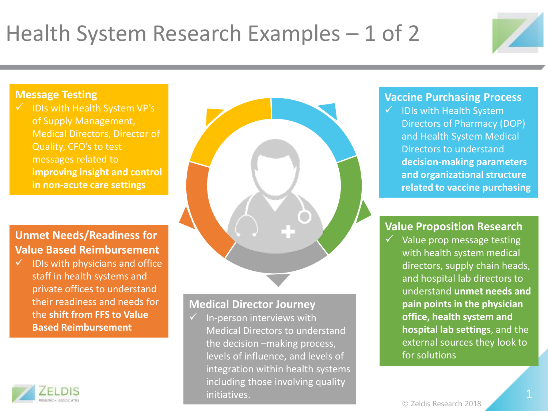# Health System Research Examples – 1 of 2



### **Message Testing**

 $\checkmark$  IDIs with Health System VP's of Supply Management, Medical Directors, Director of Quality, CFO's to test messages related to **improving insight and control in non-acute care settings**

# **Unmet Needs/Readiness for Value Based Reimbursement**

 $\checkmark$  IDIs with physicians and office staff in health systems and private offices to understand their readiness and needs for the **shift from FFS to Value Based Reimbursement** 





## **Medical Director Journey**

 $\checkmark$  In-person interviews with Medical Directors to understand the decision –making process, levels of influence, and levels of integration within health systems including those involving quality initiatives.

#### **Vaccine Purchasing Process**

 $\checkmark$  IDIs with Health System Directors of Pharmacy (DOP) and Health System Medical Directors to understand **decision-making parameters and organizational structure related to vaccine purchasing**

### **Value Proposition Research**

 $\checkmark$  Value prop message testing with health system medical directors, supply chain heads, and hospital lab directors to understand **unmet needs and pain points in the physician office, health system and hospital lab settings**, and the external sources they look to for solutions